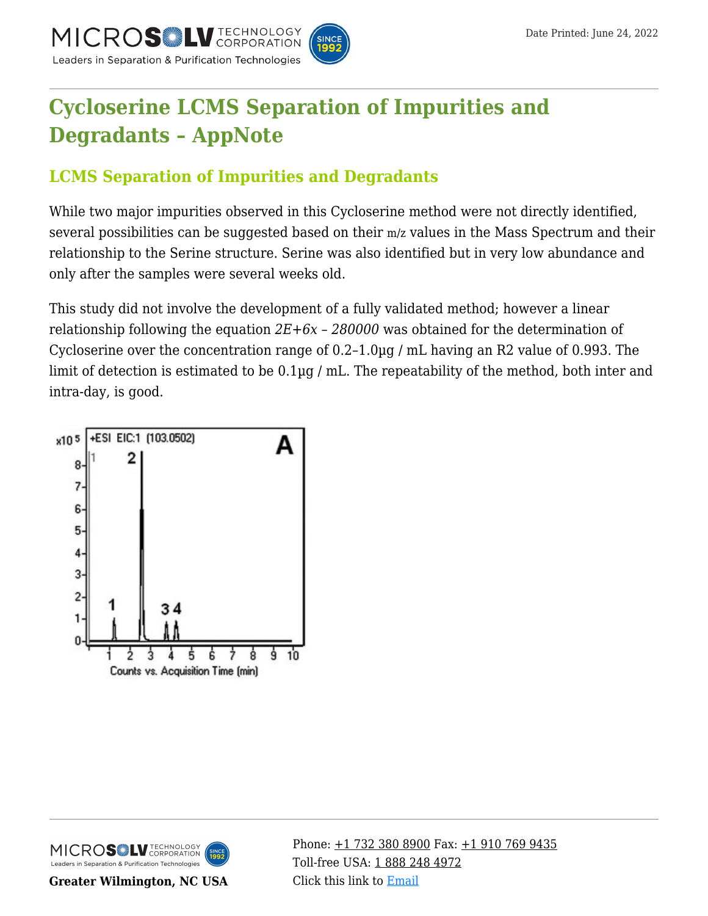



## **[Cycloserine LCMS Separation of Impurities and](https://kb.mtc-usa.com/article/aa-00589/46/) [Degradants – AppNote](https://kb.mtc-usa.com/article/aa-00589/46/)**

## **LCMS Separation of Impurities and Degradants**

While two major impurities observed in this Cycloserine method were not directly identified, several possibilities can be suggested based on their m/z values in the Mass Spectrum and their relationship to the Serine structure. Serine was also identified but in very low abundance and only after the samples were several weeks old.

This study did not involve the development of a fully validated method; however a linear relationship following the equation *2E+6x – 280000* was obtained for the determination of Cycloserine over the concentration range of 0.2–1.0µg / mL having an R2 value of 0.993. The limit of detection is estimated to be 0.1µg / mL. The repeatability of the method, both inter and intra-day, is good.





**Greater Wilmington, NC USA**

Phone:  $\pm$ 1 732 380 8900 Fax:  $\pm$ 1 910 769 9435 Toll-free USA: [1 888 248 4972](#page--1-0) Click this link to [Email](https://www.mtc-usa.com/contact)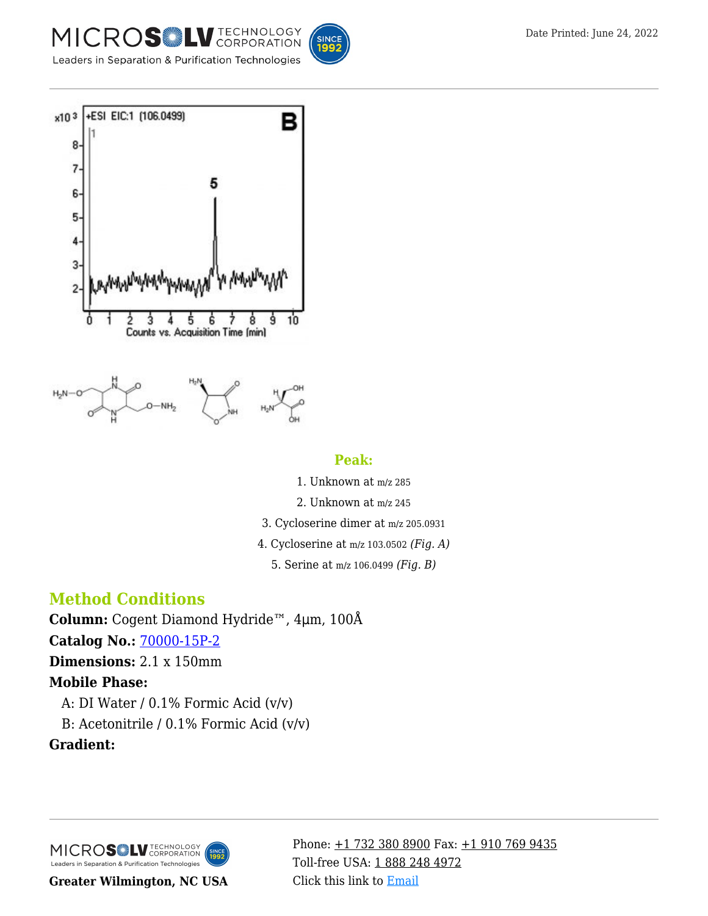







## **Peak:**

- 1. Unknown at m/z 285
- 2. Unknown at m/z 245
- 3. Cycloserine dimer at m/z 205.0931
- 4. Cycloserine at m/z 103.0502 *(Fig. A)*
	- 5. Serine at m/z 106.0499 *(Fig. B)*

## **Method Conditions**

**Column:** Cogent Diamond Hydride™, 4μm, 100Å **Catalog No.:** [70000-15P-2](https://www.mtc-usa.com/product-details/id/4115801) **Dimensions:** 2.1 x 150mm **Mobile Phase:** A: DI Water /  $0.1\%$  Formic Acid (v/v) —B: Acetonitrile / 0.1% Formic Acid (v/v) **Gradient:**

MICROS LU TECHNOLOGY Leaders in Separation & Purification Technologies

**Greater Wilmington, NC USA**

Phone:  $\pm$ 1 732 380 8900 Fax:  $\pm$ 1 910 769 9435 Toll-free USA: [1 888 248 4972](#page--1-0) Click this link to [Email](https://www.mtc-usa.com/contact)